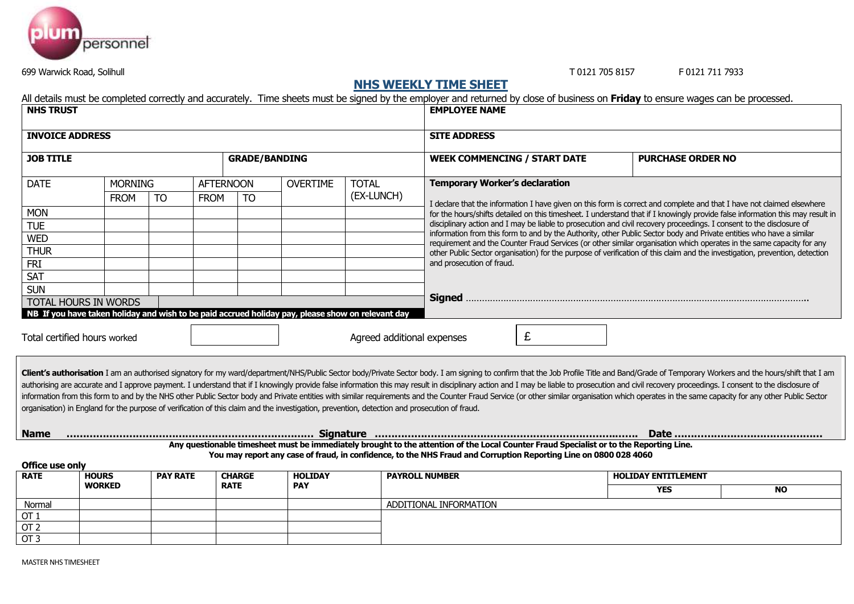

699 Warwick Road, Solihull T 0121 705 8157 F 0121 711 7933

## **NHS WEEKLY TIME SHEET**

All details must be completed correctly and accurately. Time sheets must be signed by the employer and returned by close of business on **Friday** to ensure wages can be processed.

| <b>NHS TRUST</b>       |                              |                 |                  |                              |                              |                                                                                                                                               | <b>EMPLOYEE NAME</b>                                                                                                                                                                                                                                                                                                                                                                                                                                                                                                                                                                                                                                                                              |                            |           |  |  |  |  |  |  |
|------------------------|------------------------------|-----------------|------------------|------------------------------|------------------------------|-----------------------------------------------------------------------------------------------------------------------------------------------|---------------------------------------------------------------------------------------------------------------------------------------------------------------------------------------------------------------------------------------------------------------------------------------------------------------------------------------------------------------------------------------------------------------------------------------------------------------------------------------------------------------------------------------------------------------------------------------------------------------------------------------------------------------------------------------------------|----------------------------|-----------|--|--|--|--|--|--|
| <b>INVOICE ADDRESS</b> |                              |                 |                  |                              |                              |                                                                                                                                               | <b>SITE ADDRESS</b>                                                                                                                                                                                                                                                                                                                                                                                                                                                                                                                                                                                                                                                                               |                            |           |  |  |  |  |  |  |
| <b>JOB TITLE</b>       |                              |                 |                  | <b>GRADE/BANDING</b>         |                              |                                                                                                                                               | <b>WEEK COMMENCING / START DATE</b>                                                                                                                                                                                                                                                                                                                                                                                                                                                                                                                                                                                                                                                               | <b>PURCHASE ORDER NO</b>   |           |  |  |  |  |  |  |
| <b>DATE</b>            | <b>MORNING</b>               |                 | <b>AFTERNOON</b> |                              | <b>OVERTIME</b>              | <b>TOTAL</b>                                                                                                                                  | <b>Temporary Worker's declaration</b>                                                                                                                                                                                                                                                                                                                                                                                                                                                                                                                                                                                                                                                             |                            |           |  |  |  |  |  |  |
|                        | <b>FROM</b>                  | <b>TO</b>       | <b>FROM</b>      | <b>TO</b>                    |                              | (EX-LUNCH)                                                                                                                                    |                                                                                                                                                                                                                                                                                                                                                                                                                                                                                                                                                                                                                                                                                                   |                            |           |  |  |  |  |  |  |
| <b>MON</b>             |                              |                 |                  |                              |                              |                                                                                                                                               | I declare that the information I have given on this form is correct and complete and that I have not claimed elsewhere<br>for the hours/shifts detailed on this timesheet. I understand that if I knowingly provide false information this may result in                                                                                                                                                                                                                                                                                                                                                                                                                                          |                            |           |  |  |  |  |  |  |
| <b>TUE</b>             |                              |                 |                  |                              |                              |                                                                                                                                               | disciplinary action and I may be liable to prosecution and civil recovery proceedings. I consent to the disclosure of                                                                                                                                                                                                                                                                                                                                                                                                                                                                                                                                                                             |                            |           |  |  |  |  |  |  |
| <b>WED</b>             |                              |                 |                  |                              |                              |                                                                                                                                               | information from this form to and by the Authority, other Public Sector body and Private entities who have a similar                                                                                                                                                                                                                                                                                                                                                                                                                                                                                                                                                                              |                            |           |  |  |  |  |  |  |
| <b>THUR</b>            |                              |                 |                  |                              |                              |                                                                                                                                               | requirement and the Counter Fraud Services (or other similar organisation which operates in the same capacity for any<br>other Public Sector organisation) for the purpose of verification of this claim and the investigation, prevention, detection                                                                                                                                                                                                                                                                                                                                                                                                                                             |                            |           |  |  |  |  |  |  |
| <b>FRI</b>             |                              |                 |                  |                              |                              |                                                                                                                                               | and prosecution of fraud.                                                                                                                                                                                                                                                                                                                                                                                                                                                                                                                                                                                                                                                                         |                            |           |  |  |  |  |  |  |
| <b>SAT</b>             |                              |                 |                  |                              |                              |                                                                                                                                               |                                                                                                                                                                                                                                                                                                                                                                                                                                                                                                                                                                                                                                                                                                   |                            |           |  |  |  |  |  |  |
| <b>SUN</b>             |                              |                 |                  |                              |                              |                                                                                                                                               |                                                                                                                                                                                                                                                                                                                                                                                                                                                                                                                                                                                                                                                                                                   |                            |           |  |  |  |  |  |  |
|                        | <b>TOTAL HOURS IN WORDS</b>  |                 |                  |                              |                              |                                                                                                                                               |                                                                                                                                                                                                                                                                                                                                                                                                                                                                                                                                                                                                                                                                                                   |                            |           |  |  |  |  |  |  |
|                        | Total certified hours worked |                 |                  |                              |                              | Agreed additional expenses                                                                                                                    | £                                                                                                                                                                                                                                                                                                                                                                                                                                                                                                                                                                                                                                                                                                 |                            |           |  |  |  |  |  |  |
|                        |                              |                 |                  |                              |                              | organisation) in England for the purpose of verification of this claim and the investigation, prevention, detection and prosecution of fraud. | Client's authorisation I am an authorised signatory for my ward/department/NHS/Public Sector body/Private Sector body. I am signing to confirm that the Job Profile Title and Band/Grade of Temporary Workers and the hours/sh<br>authorising are accurate and I approve payment. I understand that if I knowingly provide false information this may result in disciplinary action and I may be liable to prosecution and civil recovery proceedings. I consent<br>information from this form to and by the NHS other Public Sector body and Private entities with similar requirements and the Counter Fraud Service (or other similar organisation which operates in the same capacity for any |                            |           |  |  |  |  |  |  |
| <b>Name</b>            |                              |                 |                  |                              |                              |                                                                                                                                               |                                                                                                                                                                                                                                                                                                                                                                                                                                                                                                                                                                                                                                                                                                   |                            |           |  |  |  |  |  |  |
| Office use only        |                              |                 |                  |                              |                              |                                                                                                                                               | Any questionable timesheet must be immediately brought to the attention of the Local Counter Fraud Specialist or to the Reporting Line.<br>You may report any case of fraud, in confidence, to the NHS Fraud and Corruption Reporting Line on 0800 028 4060                                                                                                                                                                                                                                                                                                                                                                                                                                       |                            |           |  |  |  |  |  |  |
| <b>RATE</b>            | <b>HOURS</b>                 | <b>PAY RATE</b> |                  | <b>CHARGE</b><br><b>RATE</b> | <b>HOLIDAY</b><br><b>PAY</b> |                                                                                                                                               | <b>PAYROLL NUMBER</b>                                                                                                                                                                                                                                                                                                                                                                                                                                                                                                                                                                                                                                                                             | <b>HOLIDAY ENTITLEMENT</b> |           |  |  |  |  |  |  |
|                        | <b>WORKED</b>                |                 |                  |                              |                              |                                                                                                                                               |                                                                                                                                                                                                                                                                                                                                                                                                                                                                                                                                                                                                                                                                                                   | <b>YES</b>                 | <b>NO</b> |  |  |  |  |  |  |
| Normal                 |                              |                 |                  |                              |                              |                                                                                                                                               | ADDITIONAL INFORMATION                                                                                                                                                                                                                                                                                                                                                                                                                                                                                                                                                                                                                                                                            |                            |           |  |  |  |  |  |  |
| OT <sub>1</sub>        |                              |                 |                  |                              |                              |                                                                                                                                               |                                                                                                                                                                                                                                                                                                                                                                                                                                                                                                                                                                                                                                                                                                   |                            |           |  |  |  |  |  |  |
| OT <sub>2</sub>        |                              |                 |                  |                              |                              |                                                                                                                                               |                                                                                                                                                                                                                                                                                                                                                                                                                                                                                                                                                                                                                                                                                                   |                            |           |  |  |  |  |  |  |

OT 3